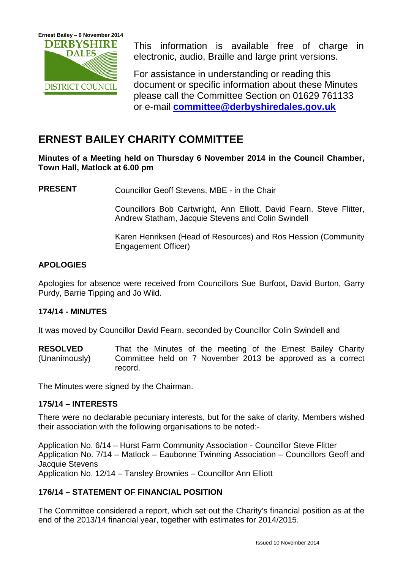

This information is available free of charge in electronic, audio, Braille and large print versions.

For assistance in understanding or reading this document or specific information about these Minutes please call the Committee Section on 01629 761133 or e-mail **[committee@derbyshiredales.gov.uk](mailto:committee@derbyshiredales.gov.uk)**

# **ERNEST BAILEY CHARITY COMMITTEE**

**Minutes of a Meeting held on Thursday 6 November 2014 in the Council Chamber, Town Hall, Matlock at 6.00 pm**

**PRESENT** Councillor Geoff Stevens, MBE - in the Chair

Councillors Bob Cartwright, Ann Elliott, David Fearn, Steve Flitter, Andrew Statham, Jacquie Stevens and Colin Swindell

Karen Henriksen (Head of Resources) and Ros Hession (Community Engagement Officer)

#### **APOLOGIES**

Apologies for absence were received from Councillors Sue Burfoot, David Burton, Garry Purdy, Barrie Tipping and Jo Wild.

#### **174/14 - MINUTES**

It was moved by Councillor David Fearn, seconded by Councillor Colin Swindell and

**RESOLVED** (Unanimously) That the Minutes of the meeting of the Ernest Bailey Charity Committee held on 7 November 2013 be approved as a correct record.

The Minutes were signed by the Chairman.

#### **175/14 – INTERESTS**

There were no declarable pecuniary interests, but for the sake of clarity, Members wished their association with the following organisations to be noted:-

Application No. 6/14 – Hurst Farm Community Association - Councillor Steve Flitter Application No. 7/14 – Matlock – Eaubonne Twinning Association – Councillors Geoff and Jacquie Stevens Application No. 12/14 – Tansley Brownies – Councillor Ann Elliott

## **176/14 – STATEMENT OF FINANCIAL POSITION**

The Committee considered a report, which set out the Charity's financial position as at the end of the 2013/14 financial year, together with estimates for 2014/2015.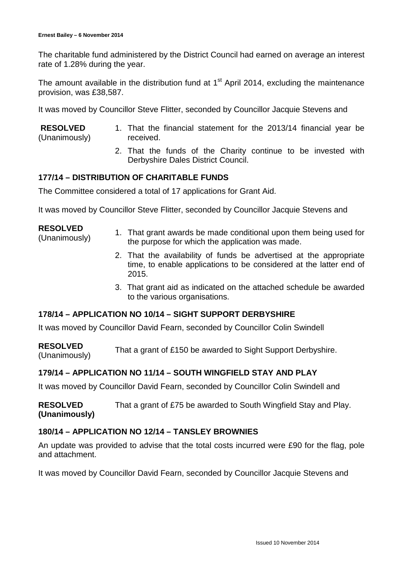The charitable fund administered by the District Council had earned on average an interest rate of 1.28% during the year.

The amount available in the distribution fund at  $1<sup>st</sup>$  April 2014, excluding the maintenance provision, was £38,587.

It was moved by Councillor Steve Flitter, seconded by Councillor Jacquie Stevens and

- **RESOLVED** (Unanimously) 1. That the financial statement for the 2013/14 financial year be received.
	- 2. That the funds of the Charity continue to be invested with Derbyshire Dales District Council.

#### **177/14 – DISTRIBUTION OF CHARITABLE FUNDS**

The Committee considered a total of 17 applications for Grant Aid.

It was moved by Councillor Steve Flitter, seconded by Councillor Jacquie Stevens and

#### **RESOLVED**

- ESULVED<br>(Unanimously) 1. That grant awards be made conditional upon them being used for<br>the nurrese for which the englishing was made the purpose for which the application was made.
	- 2. That the availability of funds be advertised at the appropriate time, to enable applications to be considered at the latter end of 2015.
	- 3. That grant aid as indicated on the attached schedule be awarded to the various organisations.

#### **178/14 – APPLICATION NO 10/14 – SIGHT SUPPORT DERBYSHIRE**

It was moved by Councillor David Fearn, seconded by Councillor Colin Swindell

**RESOLVED** RESULVED<br>(Unanimously) That a grant of £150 be awarded to Sight Support Derbyshire.

#### **179/14 – APPLICATION NO 11/14 – SOUTH WINGFIELD STAY AND PLAY**

It was moved by Councillor David Fearn, seconded by Councillor Colin Swindell and

**RESOLVED (Unanimously)** That a grant of £75 be awarded to South Wingfield Stay and Play.

#### **180/14 – APPLICATION NO 12/14 – TANSLEY BROWNIES**

An update was provided to advise that the total costs incurred were £90 for the flag, pole and attachment.

It was moved by Councillor David Fearn, seconded by Councillor Jacquie Stevens and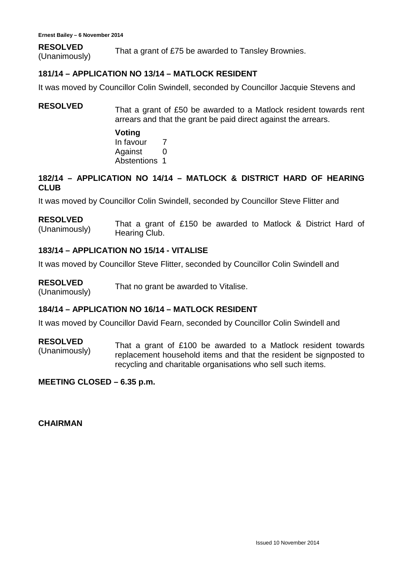**RESOLVED** RESULVED<br>(Unanimously) That a grant of £75 be awarded to Tansley Brownies.

#### **181/14 – APPLICATION NO 13/14 – MATLOCK RESIDENT**

It was moved by Councillor Colin Swindell, seconded by Councillor Jacquie Stevens and

## **RESOLVED** That a grant of £50 be awarded to a Matlock resident towards rent arrears and that the grant be paid direct against the arrears.

**Voting** In favour 7 Against 0 Abstentions 1

### **182/14 – APPLICATION NO 14/14 – MATLOCK & DISTRICT HARD OF HEARING CLUB**

It was moved by Councillor Colin Swindell, seconded by Councillor Steve Flitter and

**RESOLVED** (Unanimously) That a grant of £150 be awarded to Matlock & District Hard of Hearing Club.

#### **183/14 – APPLICATION NO 15/14 - VITALISE**

It was moved by Councillor Steve Flitter, seconded by Councillor Colin Swindell and

**RESOLVED RESOLVED** That no grant be awarded to Vitalise.<br>(Unanimously)

#### **184/14 – APPLICATION NO 16/14 – MATLOCK RESIDENT**

It was moved by Councillor David Fearn, seconded by Councillor Colin Swindell and

#### **RESOLVED**

That a grant of  $£100$  be awarded to a Matlock resident towards (Unanimously) repleasement beyonded towards to conserve the summated to replacement household items and that the resident be signposted to recycling and charitable organisations who sell such items.

**MEETING CLOSED – 6.35 p.m.**

**CHAIRMAN**